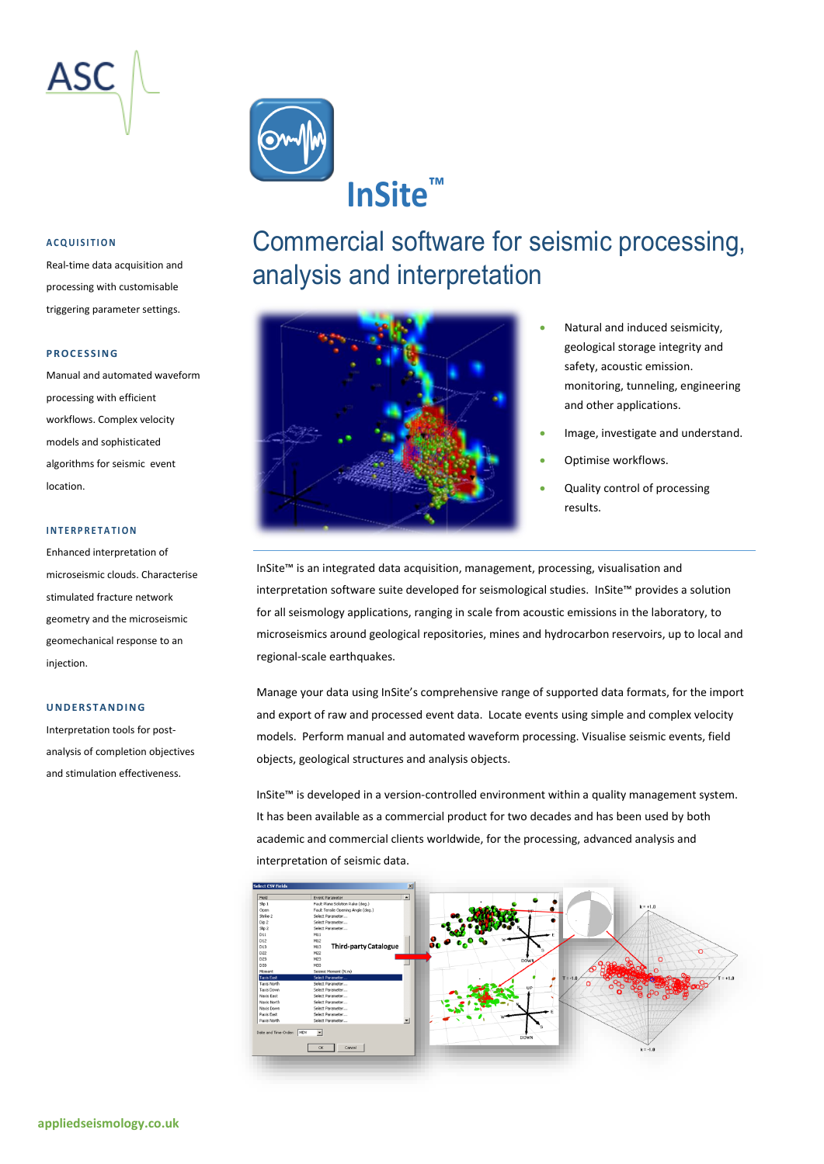



#### **A C Q U I S I T I O N**

Real-time data acquisition and processing with customisable triggering parameter settings.

#### **P R O C E S S I N G**

Manual and automated waveform processing with efficient workflows. Complex velocity models and sophisticated algorithms for seismic event location.

#### **I N T E R P R E T A T I O N**

Enhanced interpretation of microseismic clouds. Characterise stimulated fracture network geometry and the microseismic geomechanical response to an injection.

#### **U N D E R S T A N D I N G**

Interpretation tools for postanalysis of completion objectives and stimulation effectiveness.

### Commercial software for seismic processing, analysis and interpretation



- Natural and induced seismicity, geological storage integrity and safety, acoustic emission. monitoring, tunneling, engineering and other applications.
- Image, investigate and understand.
- Optimise workflows.
- Quality control of processing results.

InSite™ is an integrated data acquisition, management, processing, visualisation and interpretation software suite developed for seismological studies. InSite™ provides a solution for all seismology applications, ranging in scale from acoustic emissions in the laboratory, to microseismics around geological repositories, mines and hydrocarbon reservoirs, up to local and regional-scale earthquakes.

Manage your data using InSite's comprehensive range of supported data formats, for the import and export of raw and processed event data. Locate events using simple and complex velocity models. Perform manual and automated waveform processing. Visualise seismic events, field objects, geological structures and analysis objects.

InSite™ is developed in a version-controlled environment within a quality management system. It has been available as a commercial product for two decades and has been used by both academic and commercial clients worldwide, for the processing, advanced analysis and interpretation of seismic data.

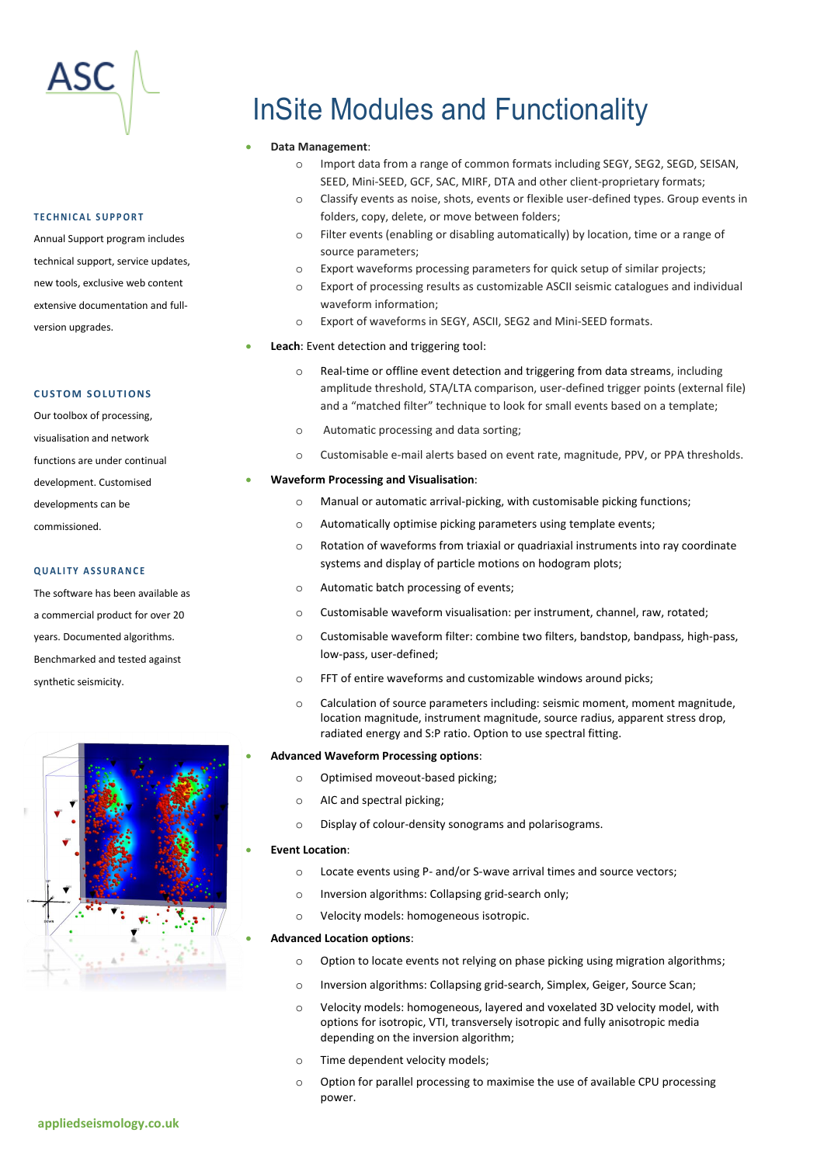

#### **T E C H N I C A L S U P P O R T**

Annual Support program includes technical support, service updates, new tools, exclusive web content extensive documentation and fullversion upgrades.

#### **CUSTOM SOLUTIONS**

Our toolbox of processing, visualisation and network functions are under continual development. Customised developments can be commissioned.

#### **Q U A L I T Y A S S U R A N C E**

The software has been available as a commercial product for over 20 years. Documented algorithms. Benchmarked and tested against synthetic seismicity.



## InSite Modules and Functionality

#### • **Data Management**:

- o Import data from a range of common formats including SEGY, SEG2, SEGD, SEISAN, SEED, Mini-SEED, GCF, SAC, MIRF, DTA and other client-proprietary formats;
- o Classify events as noise, shots, events or flexible user-defined types. Group events in folders, copy, delete, or move between folders;
- o Filter events (enabling or disabling automatically) by location, time or a range of source parameters;
- o Export waveforms processing parameters for quick setup of similar projects;
- o Export of processing results as customizable ASCII seismic catalogues and individual waveform information;
- o Export of waveforms in SEGY, ASCII, SEG2 and Mini-SEED formats.

### • **Leach**: Event detection and triggering tool:

- o Real-time or offline event detection and triggering from data streams, including amplitude threshold, STA/LTA comparison, user-defined trigger points (external file) and a "matched filter" technique to look for small events based on a template;
- o Automatic processing and data sorting;
- o Customisable e-mail alerts based on event rate, magnitude, PPV, or PPA thresholds.

#### • **Waveform Processing and Visualisation**:

- o Manual or automatic arrival-picking, with customisable picking functions;
- o Automatically optimise picking parameters using template events;
- o Rotation of waveforms from triaxial or quadriaxial instruments into ray coordinate systems and display of particle motions on hodogram plots;
- o Automatic batch processing of events;
- o Customisable waveform visualisation: per instrument, channel, raw, rotated;
- o Customisable waveform filter: combine two filters, bandstop, bandpass, high-pass, low-pass, user-defined;
- o FFT of entire waveforms and customizable windows around picks;
- o Calculation of source parameters including: seismic moment, moment magnitude, location magnitude, instrument magnitude, source radius, apparent stress drop, radiated energy and S:P ratio. Option to use spectral fitting.

#### • **Advanced Waveform Processing options**:

- o Optimised moveout-based picking;
- o AIC and spectral picking;
- o Display of colour-density sonograms and polarisograms.

#### • **Event Location**:

- o Locate events using P- and/or S-wave arrival times and source vectors;
- o Inversion algorithms: Collapsing grid-search only;
- o Velocity models: homogeneous isotropic.

#### • **Advanced Location options**:

- o Option to locate events not relying on phase picking using migration algorithms;
- o Inversion algorithms: Collapsing grid-search, Simplex, Geiger, Source Scan;
- o Velocity models: homogeneous, layered and voxelated 3D velocity model, with options for isotropic, VTI, transversely isotropic and fully anisotropic media depending on the inversion algorithm;
- o Time dependent velocity models;
- o Option for parallel processing to maximise the use of available CPU processing power.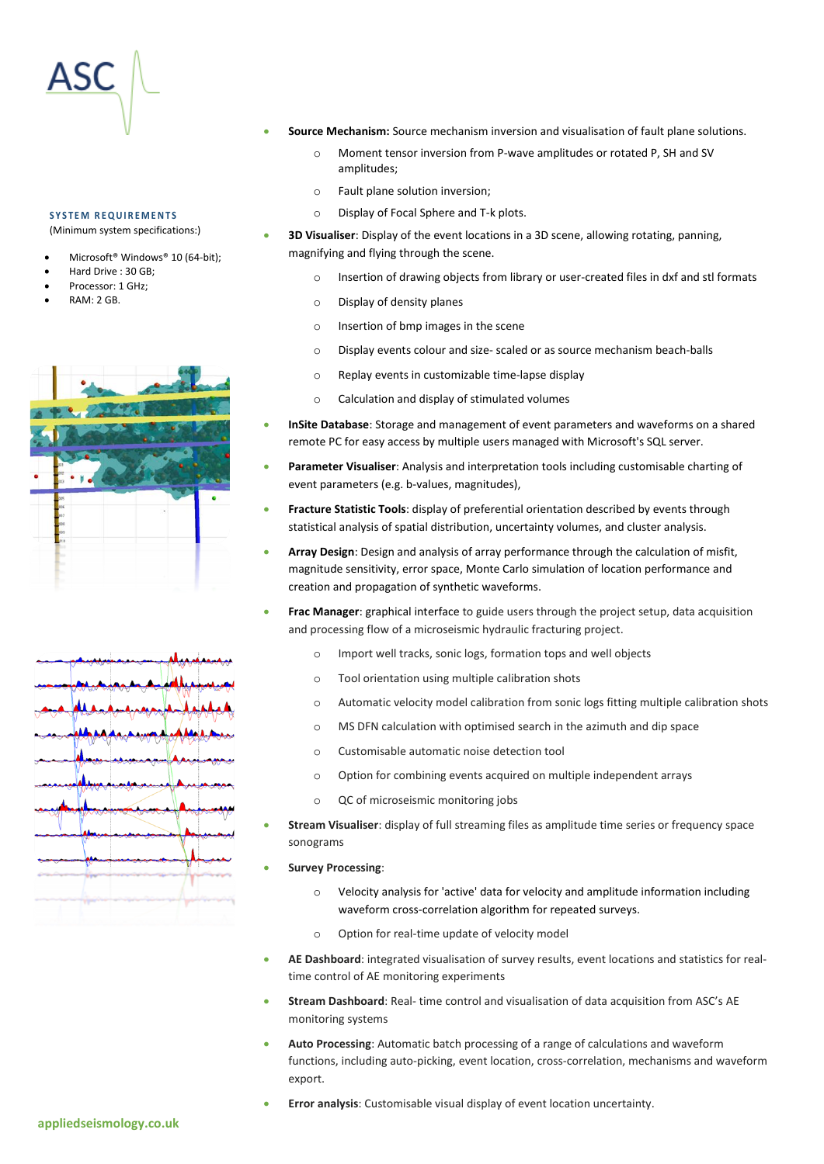#### **S Y S T E M R E Q U I R E M E N T S**

(Minimum system specifications:)

- Microsoft® Windows® 10 (64-bit);
- Hard Drive : 30 GB;
- Processor: 1 GHz;
- RAM: 2 GB.





- **Source Mechanism:** Source mechanism inversion and visualisation of fault plane solutions.
	- o Moment tensor inversion from P-wave amplitudes or rotated P, SH and SV amplitudes;
	- o Fault plane solution inversion;
	- o Display of Focal Sphere and T-k plots.

• **3D Visualiser**: Display of the event locations in a 3D scene, allowing rotating, panning, magnifying and flying through the scene.

- o Insertion of drawing objects from library or user-created files in dxf and stl formats
- o Display of density planes
- o Insertion of bmp images in the scene
- o Display events colour and size- scaled or as source mechanism beach-balls
- o Replay events in customizable time-lapse display
- o Calculation and display of stimulated volumes
- **InSite Database**: Storage and management of event parameters and waveforms on a shared remote PC for easy access by multiple users managed with Microsoft's SQL server.
- **Parameter Visualiser**: Analysis and interpretation tools including customisable charting of event parameters (e.g. b-values, magnitudes),
- **Fracture Statistic Tools**: display of preferential orientation described by events through statistical analysis of spatial distribution, uncertainty volumes, and cluster analysis.
- **Array Design**: Design and analysis of array performance through the calculation of misfit, magnitude sensitivity, error space, Monte Carlo simulation of location performance and creation and propagation of synthetic waveforms.
- **Frac Manager**: graphical interface to guide users through the project setup, data acquisition and processing flow of a microseismic hydraulic fracturing project.
	- o Import well tracks, sonic logs, formation tops and well objects
	- o Tool orientation using multiple calibration shots
	- o Automatic velocity model calibration from sonic logs fitting multiple calibration shots
	- o MS DFN calculation with optimised search in the azimuth and dip space
	- o Customisable automatic noise detection tool
	- o Option for combining events acquired on multiple independent arrays
	- o QC of microseismic monitoring jobs
- **Stream Visualiser**: display of full streaming files as amplitude time series or frequency space sonograms
- **Survey Processing**:
	- o Velocity analysis for 'active' data for velocity and amplitude information including waveform cross-correlation algorithm for repeated surveys.
	- o Option for real-time update of velocity model
- **AE Dashboard**: integrated visualisation of survey results, event locations and statistics for realtime control of AE monitoring experiments
- **Stream Dashboard**: Real- time control and visualisation of data acquisition from ASC's AE monitoring systems
- **Auto Processing**: Automatic batch processing of a range of calculations and waveform functions, including auto-picking, event location, cross-correlation, mechanisms and waveform export.
- **Error analysis**: Customisable visual display of event location uncertainty.